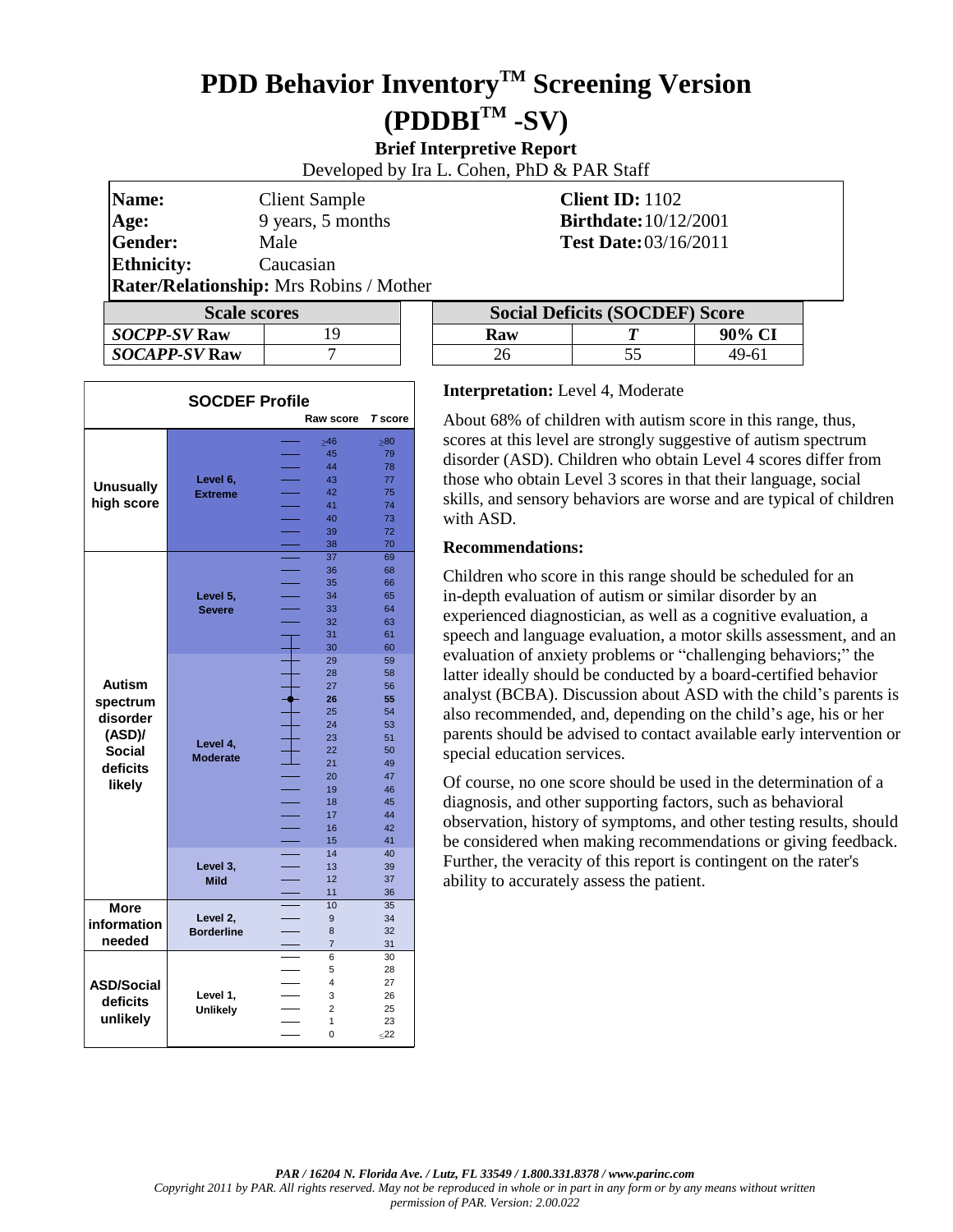# **PDD Behavior InventoryTM Screening Version (PDDBITM -SV)**

**Brief Interpretive Report**

Developed by Ira L. Cohen, PhD & PAR Staff

| Name:                                          | <b>Client Sample</b> |  | Client ID: $1102$                                                                                                                                                                                                                                                                                                                                              |  |
|------------------------------------------------|----------------------|--|----------------------------------------------------------------------------------------------------------------------------------------------------------------------------------------------------------------------------------------------------------------------------------------------------------------------------------------------------------------|--|
| Age:                                           | 9 years, 5 months    |  | <b>Birthdate:</b> 10/12/2001                                                                                                                                                                                                                                                                                                                                   |  |
| Gender:                                        | Male                 |  | <b>Test Date:</b> 03/16/2011                                                                                                                                                                                                                                                                                                                                   |  |
| <b>Ethnicity:</b>                              | Caucasian            |  |                                                                                                                                                                                                                                                                                                                                                                |  |
| <b>Rater/Relationship:</b> Mrs Robins / Mother |                      |  |                                                                                                                                                                                                                                                                                                                                                                |  |
|                                                | $\mathbf{C}$ I.      |  | $\mathcal{C}_{\mathcal{C}}$ : $\mathcal{C}$ $\mathcal{C}$ $\mathcal{C}$ $\mathcal{C}$ $\mathcal{C}$ $\mathcal{C}$ $\mathcal{C}$ $\mathcal{C}$ $\mathcal{C}$ $\mathcal{C}$ $\mathcal{C}$ $\mathcal{C}$ $\mathcal{C}$ $\mathcal{C}$ $\mathcal{C}$ $\mathcal{C}$ $\mathcal{C}$ $\mathcal{C}$ $\mathcal{C}$ $\mathcal{C}$ $\mathcal{C}$ $\mathcal{C}$ $\mathcal{C$ |  |

| <b>Scale scores</b> |    |  |  |
|---------------------|----|--|--|
| <b>SOCPP-SV Raw</b> | 19 |  |  |
| SOCAPP-SV Raw       |    |  |  |

| <b>Alutel</b> Alumnion, and a little alocality and chief |  |                                       |  |        |  |
|----------------------------------------------------------|--|---------------------------------------|--|--------|--|
| <b>Scale scores</b>                                      |  | <b>Social Deficits (SOCDEF) Score</b> |  |        |  |
| <i>SOCPP-SV</i> Raw                                      |  | Raw                                   |  | 90% CI |  |
| <i>SOCAPP-SV</i> Raw                                     |  | 26                                    |  | 49-61  |  |

| <b>SOCDEF Profile</b> |                   |                     |                |  |
|-----------------------|-------------------|---------------------|----------------|--|
|                       |                   | Raw score           | <b>T</b> score |  |
|                       |                   | $\geq 46$           | $\geq 80$      |  |
|                       |                   | 45                  | 79             |  |
|                       |                   | 44                  | 78             |  |
|                       | Level 6,          | 43                  | 77             |  |
| <b>Unusually</b>      | <b>Extreme</b>    | 42                  | 75             |  |
| high score            |                   | 41                  | 74             |  |
|                       |                   | 40                  | 73             |  |
|                       |                   | 39                  | 72             |  |
|                       |                   | 38                  | 70             |  |
|                       |                   | 37                  | 69             |  |
|                       |                   | 36                  | 68             |  |
|                       |                   | 35                  | 66             |  |
|                       | Level 5,          | 34                  | 65             |  |
|                       | <b>Severe</b>     | 33                  | 64             |  |
|                       |                   | 32                  | 63             |  |
|                       |                   | 31                  | 61             |  |
|                       |                   | 30                  | 60             |  |
|                       |                   | 29                  | 59             |  |
|                       |                   | 28                  | 58             |  |
| <b>Autism</b>         |                   | 27                  | 56             |  |
| spectrum              |                   | 26                  | 55             |  |
| disorder              |                   | 25                  | 54             |  |
|                       |                   | 24                  | 53             |  |
| (ASD)                 | Level 4,          | 23                  | 51             |  |
| <b>Social</b>         | <b>Moderate</b>   | 22                  | 50             |  |
| deficits              |                   | 21                  | 49             |  |
| likely                |                   | 20                  | 47             |  |
|                       |                   | 19                  | 46             |  |
|                       |                   | 18                  | 45             |  |
|                       |                   | 17                  | 44             |  |
|                       |                   | 16                  | 42             |  |
|                       |                   | 15                  | 41             |  |
|                       |                   | 14                  | 40             |  |
|                       | Level 3,          | 13                  | 39             |  |
|                       | <b>Mild</b>       | 12                  | 37             |  |
|                       |                   | 11                  | 36             |  |
| <b>More</b>           |                   | 10                  | 35             |  |
| information           | Level 2,          | 9                   | 34             |  |
| needed                | <b>Borderline</b> | 8                   | 32             |  |
|                       |                   | $\overline{7}$      | 31             |  |
|                       |                   | 6                   | 30             |  |
|                       |                   | 5<br>4              | 28<br>27       |  |
| <b>ASD/Social</b>     |                   |                     |                |  |
| deficits              | Level 1,          | 3<br>$\overline{2}$ | 26             |  |
| unlikely              | <b>Unlikely</b>   |                     | 25             |  |
|                       |                   | 1<br>$\overline{0}$ | 23             |  |
|                       |                   |                     | $\leq$ 22      |  |

#### **Interpretation:** Level 4, Moderate

About 68% of children with autism score in this range, thus, scores at this level are strongly suggestive of autism spectrum disorder (ASD). Children who obtain Level 4 scores differ from those who obtain Level 3 scores in that their language, social skills, and sensory behaviors are worse and are typical of children with ASD.

#### **Recommendations:**

Children who score in this range should be scheduled for an in-depth evaluation of autism or similar disorder by an experienced diagnostician, as well as a cognitive evaluation, a speech and language evaluation, a motor skills assessment, and an evaluation of anxiety problems or "challenging behaviors;" the latter ideally should be conducted by a board-certified behavior analyst (BCBA). Discussion about ASD with the child's parents is also recommended, and, depending on the child's age, his or her parents should be advised to contact available early intervention or special education services.

Of course, no one score should be used in the determination of a diagnosis, and other supporting factors, such as behavioral observation, history of symptoms, and other testing results, should be considered when making recommendations or giving feedback. Further, the veracity of this report is contingent on the rater's ability to accurately assess the patient.